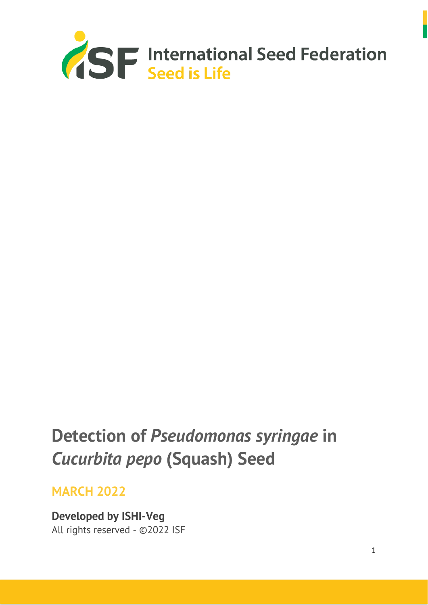

# **Detection of** *Pseudomonas syringae* **in**  *Cucurbita pepo* **(Squash) Seed**

## **MARCH 2022**

**Developed by ISHI-Veg** All rights reserved - ©2022 ISF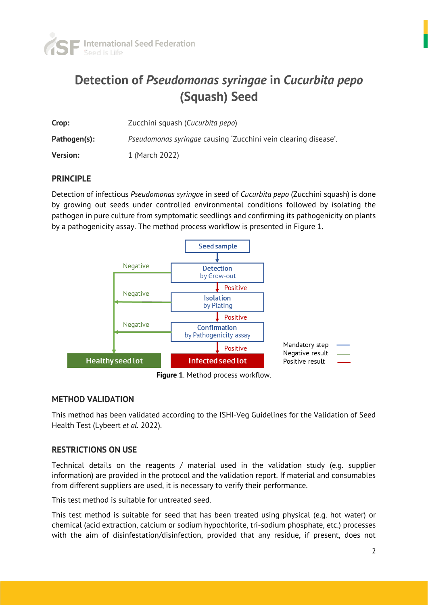

# **Detection of** *Pseudomonas syringae* **in** *Cucurbita pepo* **(Squash) Seed**

| Crop:           | Zucchini squash (Cucurbita pepo)                               |
|-----------------|----------------------------------------------------------------|
| Pathogen(s):    | Pseudomonas syringae causing 'Zucchini vein clearing disease'. |
| <b>Version:</b> | 1 (March 2022)                                                 |

### **PRINCIPLE**

Detection of infectious *Pseudomonas syringae* in seed of *Cucurbita pepo* (Zucchini squash) is done by growing out seeds under controlled environmental conditions followed by isolating the pathogen in pure culture from symptomatic seedlings and confirming its pathogenicity on plants by a pathogenicity assay. The method process workflow is presented in Figure 1.



**Figure 1**. Method process workflow.

### **METHOD VALIDATION**

This method has been validated according to the ISHI-Veg Guidelines for the Validation of Seed Health Test (Lybeert *et al.* 2022).

### **RESTRICTIONS ON USE**

Technical details on the reagents / material used in the validation study (e.g. supplier information) are provided in the protocol and the validation report. If material and consumables from different suppliers are used, it is necessary to verify their performance.

This test method is suitable for untreated seed.

This test method is suitable for seed that has been treated using physical (e.g. hot water) or chemical (acid extraction, calcium or sodium hypochlorite, tri-sodium phosphate, etc.) processes with the aim of disinfestation/disinfection, provided that any residue, if present, does not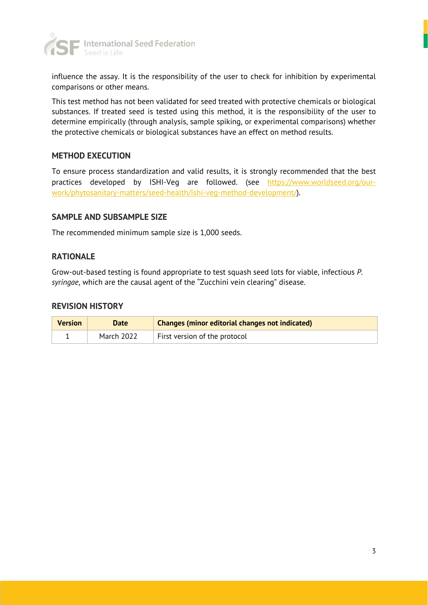

influence the assay. It is the responsibility of the user to check for inhibition by experimental comparisons or other means.

This test method has not been validated for seed treated with protective chemicals or biological substances. If treated seed is tested using this method, it is the responsibility of the user to determine empirically (through analysis, sample spiking, or experimental comparisons) whether the protective chemicals or biological substances have an effect on method results.

### **METHOD EXECUTION**

To ensure process standardization and valid results, it is strongly recommended that the best practices developed by ISHI-Veg are followed. (see [https://www.worldseed.org/our](https://www.worldseed.org/our-work/phytosanitary-matters/seed-health/ishi-veg-method-development/)[work/phytosanitary-matters/seed-health/ishi-veg-method-development/\)](https://www.worldseed.org/our-work/phytosanitary-matters/seed-health/ishi-veg-method-development/).

### **SAMPLE AND SUBSAMPLE SIZE**

The recommended minimum sample size is 1,000 seeds.

### **RATIONALE**

Grow-out-based testing is found appropriate to test squash seed lots for viable, infectious *P. syringae*, which are the causal agent of the "Zucchini vein clearing" disease.

### **REVISION HISTORY**

| <b>Version</b> | Date       | <b>Changes (minor editorial changes not indicated)</b> |
|----------------|------------|--------------------------------------------------------|
|                | March 2022 | First version of the protocol                          |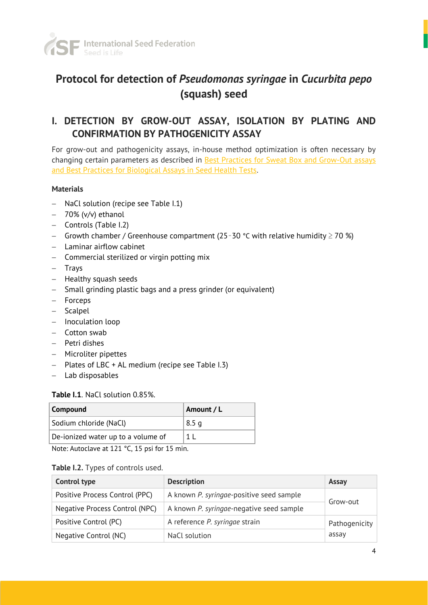

### **Protocol for detection of** *Pseudomonas syringae* **in** *Cucurbita pepo* **(squash) seed**

### **I. DETECTION BY GROW-OUT ASSAY, ISOLATION BY PLATING AND CONFIRMATION BY PATHOGENICITY ASSAY**

For grow-out and pathogenicity assays, in-house method optimization is often necessary by changing certain parameters as described in **Best Practices for Sweat Box and Grow-Out assays** [and Best Practices for Biological Assays](https://worldseed.org/our-work/phytosanitary-matters/seed-health/ishi-veg-method-development/) in Seed Health Tests.

### **Materials**

- − NaCl solution (recipe see Table I.1)
- − 70% (v/v) ethanol
- − Controls (Table I.2)
- − Growth chamber / Greenhouse compartment (25–30 °C with relative humidity ≥ 70 %)
- − Laminar airflow cabinet
- − Commercial sterilized or virgin potting mix
- − Trays
- − Healthy squash seeds
- − Small grinding plastic bags and a press grinder (or equivalent)
- − Forceps
- − Scalpel
- − Inoculation loop
- − Cotton swab
- − Petri dishes
- − Microliter pipettes
- − Plates of LBC + AL medium (recipe see Table I.3)
- − Lab disposables

### **Table I.1**. NaCl solution 0.85%.

| Compound                           | Amount / L |
|------------------------------------|------------|
| Sodium chloride (NaCl)             | 8.5 g      |
| De-ionized water up to a volume of |            |
|                                    |            |

Note: Autoclave at 121 °C, 15 psi for 15 min.

#### **Table I.2.** Types of controls used.

| Control type                   | <b>Description</b>                                   | Assay         |
|--------------------------------|------------------------------------------------------|---------------|
| Positive Process Control (PPC) | A known P. syringae-positive seed sample             |               |
| Negative Process Control (NPC) | Grow-out<br>A known P. syringae-negative seed sample |               |
| Positive Control (PC)          | A reference P. syringae strain                       | Pathogenicity |
| Negative Control (NC)          | NaCl solution                                        | assay         |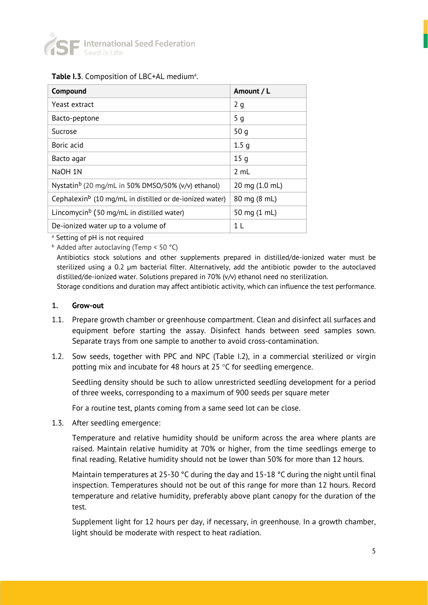

### Table I.3. Composition of LBC+AL medium<sup>a</sup>.

| Compound                                                            | Amount / L       |
|---------------------------------------------------------------------|------------------|
| Yeast extract                                                       | 2g               |
| Bacto-peptone                                                       | 5 <sub>g</sub>   |
| Sucrose                                                             | 50q              |
| Boric acid                                                          | 1.5 <sub>q</sub> |
| Bacto agar                                                          | 15q              |
| NaOH 1N                                                             | 2 mL             |
| Nystatin <sup>b</sup> (20 mg/mL in 50% DMSO/50% ( $v/v$ ) ethanol)  | 20 mg (1.0 mL)   |
| Cephalexin <sup>b</sup> (10 mg/mL in distilled or de-ionized water) | 80 mg (8 mL)     |
| Lincomycin <sup>b</sup> (50 mg/mL in distilled water)               | 50 mg (1 mL)     |
| De-ionized water up to a volume of                                  |                  |

<sup>a</sup> Setting of pH is not required

<sup>b</sup> Added after autoclaving (Temp < 50 °C)

Antibiotics stock solutions and other supplements prepared in distilled/de-ionized water must be sterilized using a 0.2 µm bacterial filter. Alternatively, add the antibiotic powder to the autoclaved distilled/de-ionized water. Solutions prepared in 70% (v/v) ethanol need no sterilization.

Storage conditions and duration may affect antibiotic activity, which can influence the test performance.

#### **1. Grow-out**

- 1.1. Prepare growth chamber or greenhouse compartment. Clean and disinfect all surfaces and equipment before starting the assay. Disinfect hands between seed samples sown. Separate trays from one sample to another to avoid cross-contamination.
- 1.2. Sow seeds, together with PPC and NPC (Table I.2), in a commercial sterilized or virgin potting mix and incubate for 48 hours at 25  $\degree$ C for seedling emergence.

Seedling density should be such to allow unrestricted seedling development for a period of three weeks, corresponding to a maximum of 900 seeds per square meter

For a routine test, plants coming from a same seed lot can be close.

1.3. After seedling emergence:

Temperature and relative humidity should be uniform across the area where plants are raised. Maintain relative humidity at 70% or higher, from the time seedlings emerge to final reading. Relative humidity should not be lower than 50% for more than 12 hours.

Maintain temperatures at 25-30 °C during the day and 15-18 °C during the night until final inspection. Temperatures should not be out of this range for more than 12 hours. Record temperature and relative humidity, preferably above plant canopy for the duration of the test.

Supplement light for 12 hours per day, if necessary, in greenhouse. In a growth chamber, light should be moderate with respect to heat radiation.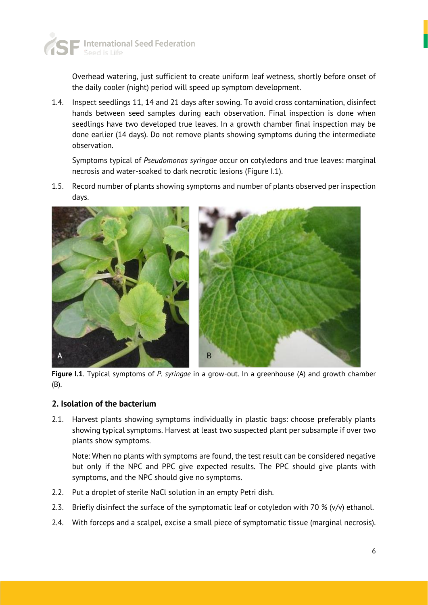

Overhead watering, just sufficient to create uniform leaf wetness, shortly before onset of the daily cooler (night) period will speed up symptom development.

1.4. Inspect seedlings 11, 14 and 21 days after sowing. To avoid cross contamination, disinfect hands between seed samples during each observation. Final inspection is done when seedlings have two developed true leaves. In a growth chamber final inspection may be done earlier (14 days). Do not remove plants showing symptoms during the intermediate observation.

Symptoms typical of *Pseudomonas syringae* occur on cotyledons and true leaves: marginal necrosis and water-soaked to dark necrotic lesions (Figure I.1).

1.5. Record number of plants showing symptoms and number of plants observed per inspection days.



**Figure I.1**. Typical symptoms of *P. syringae* in a grow-out. In a greenhouse (A) and growth chamber (B).

### **2. Isolation of the bacterium**

2.1. Harvest plants showing symptoms individually in plastic bags: choose preferably plants showing typical symptoms. Harvest at least two suspected plant per subsample if over two plants show symptoms.

Note: When no plants with symptoms are found, the test result can be considered negative but only if the NPC and PPC give expected results. The PPC should give plants with symptoms, and the NPC should give no symptoms.

- 2.2. Put a droplet of sterile NaCl solution in an empty Petri dish.
- 2.3. Briefly disinfect the surface of the symptomatic leaf or cotyledon with 70 % (v/v) ethanol.
- 2.4. With forceps and a scalpel, excise a small piece of symptomatic tissue (marginal necrosis).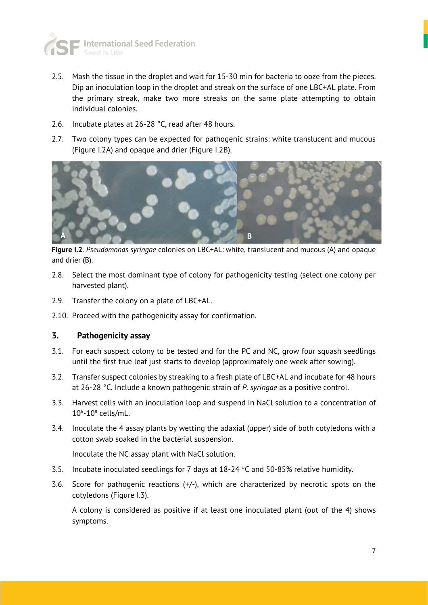

- 2.5. Mash the tissue in the droplet and wait for 15-30 min for bacteria to ooze from the pieces. Dip an inoculation loop in the droplet and streak on the surface of one LBC+AL plate. From the primary streak, make two more streaks on the same plate attempting to obtain individual colonies.
- 2.6. Incubate plates at 26-28 °C, read after 48 hours.
- 2.7. Two colony types can be expected for pathogenic strains: white translucent and mucous (Figure I.2A) and opaque and drier (Figure I.2B).



**Figure I.2**. *Pseudomonas syringae* colonies on LBC+AL: white, translucent and mucous (A) and opaque and drier (B).

- 2.8. Select the most dominant type of colony for pathogenicity testing (select one colony per harvested plant).
- 2.9. Transfer the colony on a plate of LBC+AL.
- 2.10. Proceed with the pathogenicity assay for confirmation.

### **3. Pathogenicity assay**

- 3.1. For each suspect colony to be tested and for the PC and NC, grow four squash seedlings until the first true leaf just starts to develop (approximately one week after sowing).
- 3.2. Transfer suspect colonies by streaking to a fresh plate of LBC+AL and incubate for 48 hours at 26-28 °C. Include a known pathogenic strain of *P. syringae* as a positive control.
- 3.3. Harvest cells with an inoculation loop and suspend in NaCl solution to a concentration of  $10<sup>6</sup>$ -10 $<sup>8</sup>$  cells/mL.</sup>
- 3.4. Inoculate the 4 assay plants by wetting the adaxial (upper) side of both cotyledons with a cotton swab soaked in the bacterial suspension.

Inoculate the NC assay plant with NaCl solution.

- 3.5. Incubate inoculated seedlings for 7 days at  $18-24$  °C and 50-85% relative humidity.
- 3.6. Score for pathogenic reactions (+/-), which are characterized by necrotic spots on the cotyledons (Figure I.3).

A colony is considered as positive if at least one inoculated plant (out of the 4) shows symptoms.